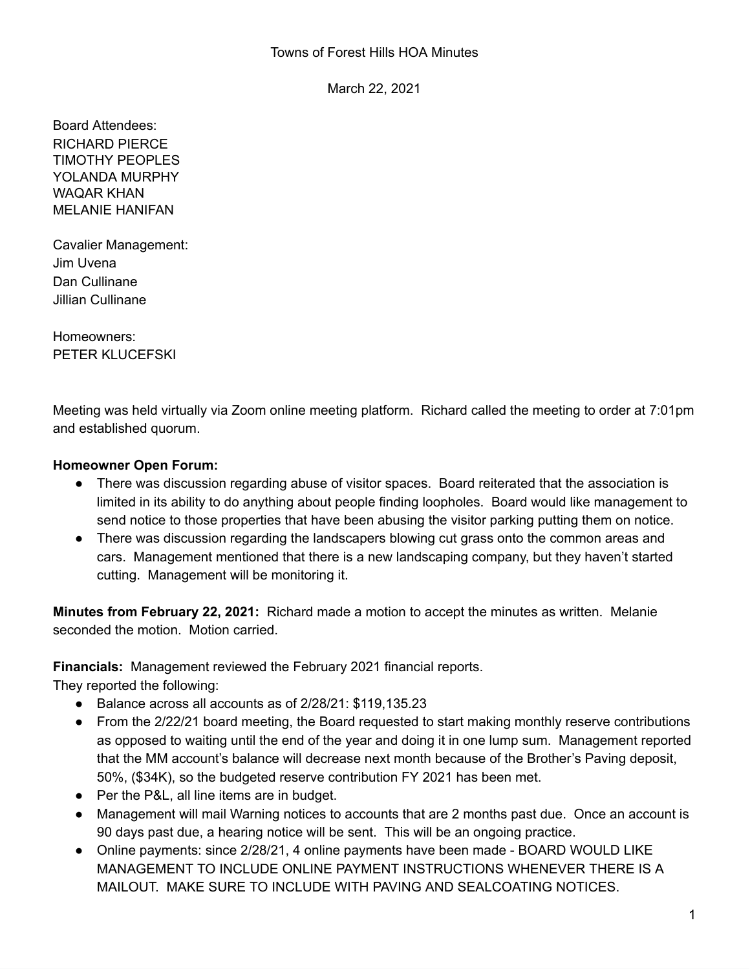March 22, 2021

Board Attendees: RICHARD PIERCE TIMOTHY PEOPLES YOLANDA MURPHY WAQAR KHAN MELANIE HANIFAN

Cavalier Management: Jim Uvena Dan Cullinane Jillian Cullinane

Homeowners: PETER KLUCEFSKI

Meeting was held virtually via Zoom online meeting platform. Richard called the meeting to order at 7:01pm and established quorum.

## **Homeowner Open Forum:**

- There was discussion regarding abuse of visitor spaces. Board reiterated that the association is limited in its ability to do anything about people finding loopholes. Board would like management to send notice to those properties that have been abusing the visitor parking putting them on notice.
- There was discussion regarding the landscapers blowing cut grass onto the common areas and cars. Management mentioned that there is a new landscaping company, but they haven't started cutting. Management will be monitoring it.

**Minutes from February 22, 2021:** Richard made a motion to accept the minutes as written. Melanie seconded the motion. Motion carried.

**Financials:** Management reviewed the February 2021 financial reports.

They reported the following:

- Balance across all accounts as of 2/28/21: \$119,135.23
- From the 2/22/21 board meeting, the Board requested to start making monthly reserve contributions as opposed to waiting until the end of the year and doing it in one lump sum. Management reported that the MM account's balance will decrease next month because of the Brother's Paving deposit, 50%, (\$34K), so the budgeted reserve contribution FY 2021 has been met.
- Per the P&L, all line items are in budget.
- Management will mail Warning notices to accounts that are 2 months past due. Once an account is 90 days past due, a hearing notice will be sent. This will be an ongoing practice.
- Online payments: since 2/28/21, 4 online payments have been made BOARD WOULD LIKE MANAGEMENT TO INCLUDE ONLINE PAYMENT INSTRUCTIONS WHENEVER THERE IS A MAILOUT. MAKE SURE TO INCLUDE WITH PAVING AND SEALCOATING NOTICES.